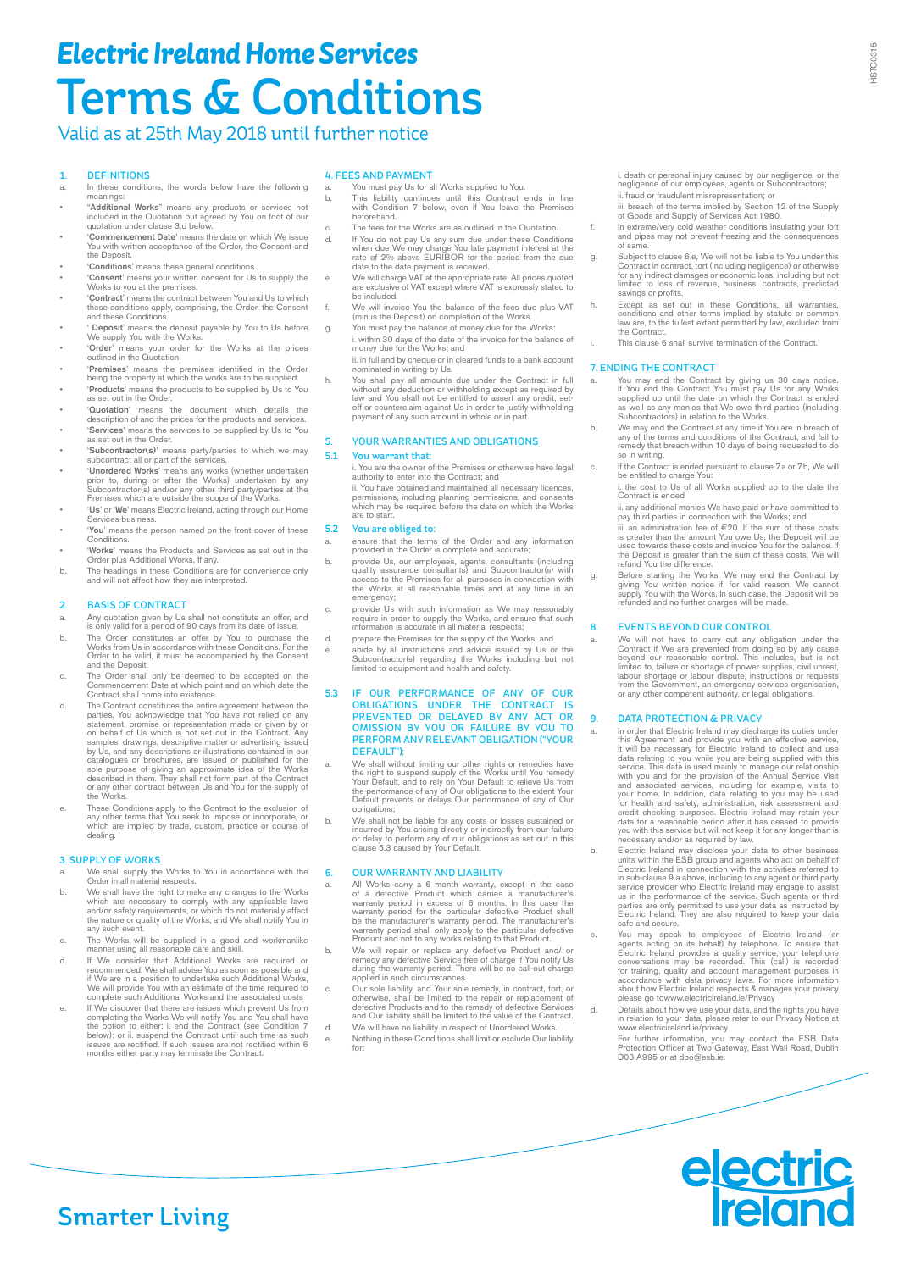# *Electric Ireland Home Services* Terms & Conditions

## Valid as at 25th May 2018 until further notice

### 1. DEFINITIONS

- a. In these conditions, the words below have the following meanings:
- "Additional Works" means any products or services not included in the Quotation but agreed by You on foot of our quotation under clause 3.d below.
- 'Commencement Date' means the date on which We issue You with written acceptance of the Order, the Consent and the Deposit.
- *'Conditions'* means these general conditions
- 'Consent' means your written consent for Us to supply the Works to you at the premises. • 'Contract' means the contract between You and Us to which
- these conditions apply, comprising, the Order, the Consent and these Conditions.
- ' Deposit' means the deposit payable by You to Us before we supply You with the Works.
- 'Order' means your order for the Works at the prices outlined in the Quotation.
- 'Premises' means the premises identified in the Order being the property at which the works are to be supplied.
- 'Products' means the products to be supplied by Us to You as set out in the Order.
- 'Quotation' means the document which details the description of and the prices for the products and services.
- 'Services' means the services to be supplied by Us to You set out in the Order.
- 'Subcontractor(s)' means party/parties to which we may subcontract all or part of the services.
- **• Unordered Works'** means any works (whether undertaken prior to, during or after the Works) undertaken by any Subcontractor(s) and/or any other third party/parties at the Premises which are outside the scope of the Wor
- 'Us' or 'We' means Electric Ireland, acting through our Home Services business.
- 'You' means the person named on the front cover of these **Conditions**
- 'Works' means the Products and Services as set out in the Order plus Additional Works, If any.
- b. The headings in these Conditions are for convenience only and will not affect how they are interpreted.

## 2. BASIS OF CONTRACT<br>a Any quotation given by Us

- a. Any quotation given by Us shall not constitute an offer, and is only valid for a period of 90 days from its date of issue.
- b. The Order constitutes an offer by You to purchase the Works from Us in accordance with these Conditions. For the Order to be valid, it must be accompanied by the Consent and the Deposit.
- c. The Order shall only be deemed to be accepted on the Commencement Date at which point and on which date the Contract shall come into existence.
- d. The Contract constitutes the entire agreement between the parties. You acknowledge that You have not relied on any statement, promise or representation made or given by or on behalf of Us which is not set out in the Con catalogues or brochures, are issued or published for the<br>sole purpose of giving an approximate idea of the Works<br>described in them. They shall not form part of the Contract<br>described in them. They shall not form part of th described<br>or any other<br>the Works.
- e. These Conditions apply to the Contract to the exclusion of any other terms that You seek to impose or incorporate, or which are implied by trade, custom, practice or course of dealing.

#### 3. SUPPLY OF WORKS

- a. We shall supply the Works to You in accordance with the Order in all material respects.
- b. We shall have the right to make any changes to the Works<br>which are necessary to comply with any applicable laws<br>and/or safety requirements, or which do not materially affect<br>the nature or quality of the Works, and We sh any such event.
- c. The Works will be supplied in a good and workmanlike manner using all reasonable care and skill.
- d. If We consider that Additional Works are required or<br>recommended, We shall advise You as soon as possible and<br>if We are in a position to undertake such Additional Works,<br>We will provide You with an estimate of the time
- e. If We discover that there are issues which prevent Us from completing the Works We will notify You and You shall have the option to either: i. end the Contract (see Condition 7<br>below); or ii. suspend the Contract until such time as such<br>issues are rectified. If such issues are not rectified within 6<br>months either party may terminate the C

#### 4. FEES AND PAYMENT

- You must pay Us for all Works supplied to You.
- b. This liability continues until this Contract ends in line with Condition 7 below, even if You leave the Premises beforehand.
- The fees for the Works are as outlined in the Quotation.
- d. If You do not pay Us any sum due under these Conditions when due We may charge You late payment interest at the rate of 2% above EURIBOR for the period from the due date to the date payment is received.
- e. We will charge VAT at the appropriate rate. All prices quoted are exclusive of VAT except where VAT is expressly stated to are exclusive<br>be included.
- f. We will invoice You the balance of the fees due plus VAT (minus the Deposit) on completion of the Works.
- g. You must pay the balance of money due for the Works: i. within 30 days of the date of the invoice for the balance of money due for the Works; and
- ii. in full and by cheque or in cleared funds to a bank account nominated in writing by Us.
- h. You shall pay all amounts due under the Contract in full without any deduction or withholding except as required by law and You shall not be entitled to assert any credit, set-off or counterclaim against Us in order to payment of any such amount in whole or in part.

## 5. YOUR WARRANTIES AND OBLIGATIONS

### 5.1 You warrant that:

i. You are the owner of the Premises or otherwise have legal authority to enter into the Contract; and ii. You have obtained and maintained all necessary licences permissions, including planning permissions, and consents which may be required before the date on which the Works

are to start. 5.2 You are obliged to:

- a. ensure that the terms of the Order and any information provided in the Order is complete and accurate;
- b. provide Us, our employees, agents, consultants (including quality assurance consultants) and Subcontractor(s) with access to the Premises for all purposes in connection with the Works at all reasonable times and at any emergency;
- c. provide Us with such information as We may reasonably require in order to supply the Works, and ensure that such information is accurate in all material respects;
- d. prepare the Premises for the supply of the Works; and
- e. abide by all instructions and advice issued by Us or the Subcontractor(s) regarding the Works including but not limited to equipment and health and safety.
- 5.3 IF OUR PERFORMANCE OF ANY OF OUR OBLIGATIONS UNDER THE CONTRACT IS PREVENTED OR DELAYED BY ANY ACT OR OMISSION BY YOU OR FAILURE BY YOU TO PERFORM ANY RELEVANT OBLIGATION ("YOUR DEFAULT"):
- a. We shall without limiting our other rights or remedies have<br>the right to suspend supply of the Works until You remedy<br>Your Default, and to rely on Your Default to relieve Us from<br>the performance of any of Our obligation obligations;
- b. We shall not be liable for any costs or losses sustained or incurred by You arising directly or indirectly from our failure or delay to perform any of our obligations as set out in this clause 5.3 caused by Your Default

## 6. **OUR WARRANTY AND LIABILITY**<br>a. All Works carry a 6 month warranty.

- a. All Works carry a 6 month warranty, except in the case<br>of a defective Product which carries a manufacturer's<br>warranty period in excess of 6 months. In this case the<br>warranty period for the particular defective Product s
- b. We will repair or replace any defective Product and/ or remedy any defective Service free of charge if You notify Us during the warranty period. There will be no call-out charge applied in such circumstances.
- c. Our sole liability, and Your sole remedy, in contract, tort, or<br>otherwise, shall be limited to the repair or replacement of<br>defective Products and to the remedy of defective Services<br>and Our liability shall be limited t
- d. We will have no liability in respect of Unordered Works. e. Nothing in these Conditions shall limit or exclude Our liability for:

i. death or personal injury caused by our negligence, or the negligence of our employees, agents or Subcontractors; ii. fraud or fraudulent misrepresentation; or

- iii. breach of the terms implied by Section 12 of the Supply of Goods and Supply of Services Act 1980.
- f. In extreme/very cold weather conditions insulating your loft and pipes may not prevent freezing and the consequences of same.
- g. Subject to clause 6.e, We will not be liable to You under this<br>Contract in contract, tort (including negligence) or otherwise<br>for any indirect damages or economic loss, including but not<br>limited to loss of revenue, busi savings or profits.
- h. Except as set out in these Conditions, all warranties, conditions and other terms implied by statute or common law are, to the fullest extent permitted by law, excluded from the Contract.
	- This clause 6 shall survive termination of the Contract.

## 7. ENDING THE CONTRACT

- a. You may end the Contract by giving us 30 days notice.<br>If You end the Contract You must pay Us for any Works<br>supplied up until the date on which the Contract is ended<br>as well as any monies that We over third parties (inc
- b. We may end the Contract at any time if You are in breach of any of the terms and conditions of the Contract, and fail to remedy that breach within 10 days of being requested to do so in writing.
- c. If the Contract is ended pursuant to clause 7.a or 7.b, We will be entitled to charge You:
	- i. the cost to Us of all Works supplied up to the date the Contract is ended
	- ii. any additional monies We have paid or have committed to pay third parties in connection with the Works; and
	- iii. an administration fee of  $\epsilon$ 20. If the sum of these costs<br>is greater than the amount You owe Us, the Deposit will be<br>used towards these costs and invoice You for the balance. If<br>the Deposit is greater than the sum o
- g. Before starting the Works, We may end the Contract by giving You written notice if, for valid reason, We cannot supply You with the Works. In such case, the Deposit will be refunded and no further charges will be made.

## 8. EVENTS BEYOND OUR CONTROL

a. We will not have to carry out any obligation under the Contract if We are prevented from doing so by any cause beyond our reasonable control. This includes, but is not limited to, failure or shortage of power supplies, civil unrest,<br>labour shortage or labour dispute, instructions or requests<br>from the Government, an emergency services organisation,<br>or any other competent authority, or leg

- 9. DATA PROTECTION & PRIVACY<br>a. In order that Electric freland may discharge its duties under<br>this Agreement and provide you with an effective service,<br>it will be necessary for Electric Ireland to collect and use<br>data rel
- b. Electric Ireland may disclose your data to other business units within the ESB group and agents who act on behalf of Electric Ireland in connection with the activities referred to in sub-clause 9.a above, including to any agent or third party<br>service provider who Electric Ireland may engage to assist<br>us in the performance of the service. Such agents or third<br>parties are only permitted to use your da
- c. You may speak to employees of Electric Ireland (or<br>agents acting on its behalt) by tleephone. To ensure that<br>Electric Ireland provides a quality service, your telephone<br>conversations may be recorded. This (call) is reco
- d. Details about how we use your data, and the rights you have in relation to your data, please refer to our Privacy Notice at www.electricireland.ie/privacy

For further information, you may contact the ESB Data Protection Officer at Two Gateway, East Wall Road, Dublin D03 A995 or at dpo@esb.ie.

# **electric**<br>**reland**

## Smarter Living

**ISTC0315** HSTC0315